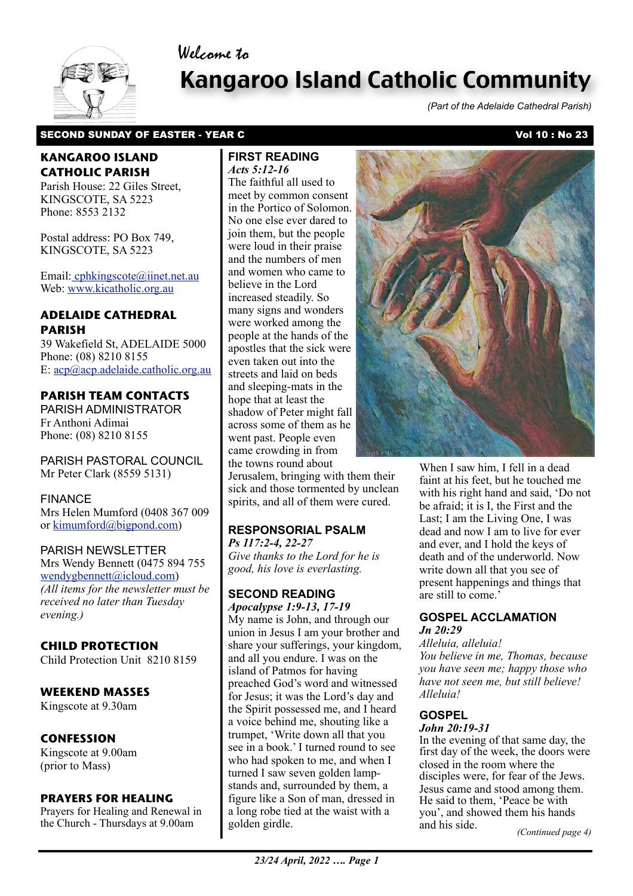

# Kangaroo Island Catholic Community Welcome to

*(Part of the Adelaide Cathedral Parish)*

## SECOND SUNDAY OF EASTER - YEAR C Vol 10 : No 23

## **KANGAROO ISLAND CATHOLIC PARISH**

Parish House: 22 Giles Street, KINGSCOTE, SA 5223 Phone: 8553 2132

Postal address: PO Box 749, KINGSCOTE, SA 5223

Email[: cphkingscote@iinet.net.au](mailto:cphkingscote@iinet.net.au) Web: [www.kicatholic.org.au](http://www.kicatholic.org.au)

## **ADELAIDE CATHEDRAL PARISH**

39 Wakefield St, ADELAIDE 5000 Phone: (08) 8210 8155 E: [acp@acp.adelaide.catholic.org.au](mailto:?subject=)

## **PARISH TEAM CONTACTS**

PARISH ADMINISTRATOR Fr Anthoni Adimai Phone: (08) 8210 8155

PARISH PASTORAL COUNCIL Mr Peter Clark (8559 5131)

## FINANCE

Mrs Helen Mumford (0408 367 009 or [kimumford@bigpond.com\)](mailto:kimumford@bigpond.com)

#### PARISH NEWSLETTER

Mrs Wendy Bennett (0475 894 755 [wendygbennett@icloud.com\)](mailto:wendygbennett@icloud.com) *(All items for the newsletter must be received no later than Tuesday evening.)*

## **CHILD PROTECTION**

Child Protection Unit 8210 8159

## **WEEKEND MASSES**

Kingscote at 9.30am

## **CONFESSION**

Kingscote at 9.00am (prior to Mass)

#### **PRAYERS FOR HEALING**

Prayers for Healing and Renewal in the Church - Thursdays at 9.00am

#### **FIRST READING** *Acts 5:12-16*

The faithful all used to meet by common consent in the Portico of Solomon. No one else ever dared to join them, but the people were loud in their praise and the numbers of men and women who came to believe in the Lord increased steadily. So many signs and wonders were worked among the people at the hands of the apostles that the sick were even taken out into the streets and laid on beds and sleeping-mats in the hope that at least the shadow of Peter might fall across some of them as he went past. People even came crowding in from the towns round about

Jerusalem, bringing with them their sick and those tormented by unclean spirits, and all of them were cured.

## **RESPONSORIAL PSALM**

*Ps 117:2-4, 22-27 Give thanks to the Lord for he is good, his love is everlasting.*

## **SECOND READING**

*Apocalypse 1:9-13, 17-19* My name is John, and through our union in Jesus I am your brother and share your sufferings, your kingdom, and all you endure. I was on the island of Patmos for having preached God's word and witnessed for Jesus; it was the Lord's day and the Spirit possessed me, and I heard a voice behind me, shouting like a trumpet, 'Write down all that you see in a book.' I turned round to see who had spoken to me, and when I turned I saw seven golden lampstands and, surrounded by them, a figure like a Son of man, dressed in a long robe tied at the waist with a golden girdle.



When I saw him, I fell in a dead faint at his feet, but he touched me with his right hand and said, 'Do not be afraid; it is I, the First and the Last; I am the Living One, I was dead and now I am to live for ever and ever, and I hold the keys of death and of the underworld. Now write down all that you see of present happenings and things that are still to come.'

#### **GOSPEL ACCLAMATION** *Jn 20:29*

*Alleluia, alleluia! You believe in me, Thomas, because you have seen me; happy those who have not seen me, but still believe! Alleluia!*

## **GOSPEL**

#### *John 20:19-31*

In the evening of that same day, the first day of the week, the doors were closed in the room where the disciples were, for fear of the Jews. Jesus came and stood among them. He said to them, 'Peace be with you', and showed them his hands and his side.

*(Continued page 4)*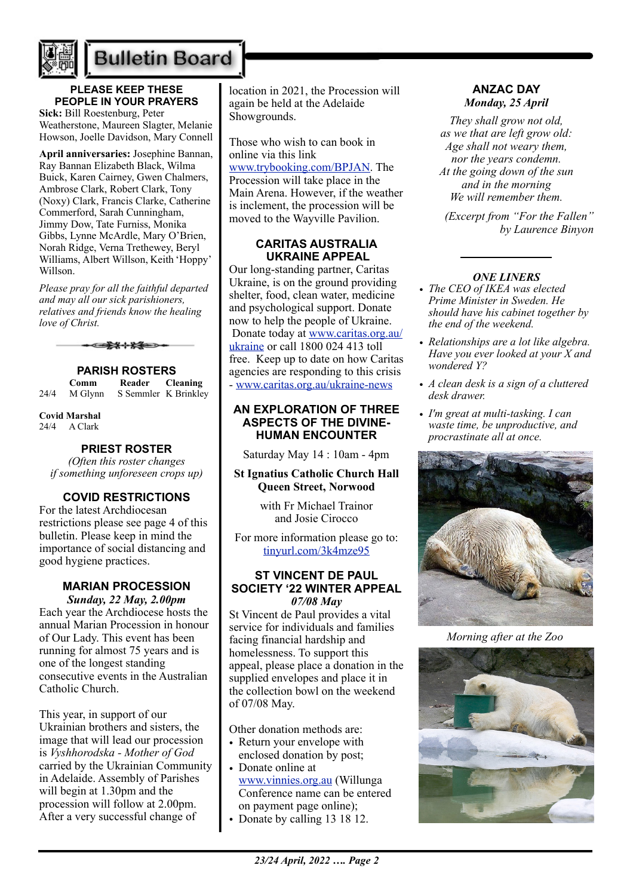

# **Bulletin Board**

## **PLEASE KEEP THESE PEOPLE IN YOUR PRAYERS**

**Sick:** Bill Roestenburg, Peter Weatherstone, Maureen Slagter, Melanie Howson, Joelle Davidson, Mary Connell

**April anniversaries:** Josephine Bannan, Ray Bannan Elizabeth Black, Wilma Buick, Karen Cairney, Gwen Chalmers, Ambrose Clark, Robert Clark, Tony (Noxy) Clark, Francis Clarke, Catherine Commerford, Sarah Cunningham, Jimmy Dow, Tate Furniss, Monika Gibbs, Lynne McArdle, Mary O'Brien, Norah Ridge, Verna Trethewey, Beryl Williams, Albert Willson, Keith 'Hoppy' Willson.

*Please pray for all the faithful departed and may all our sick parishioners, relatives and friends know the healing love of Christ.*



## **PARISH ROSTERS**

 **Comm Reader Cleaning** 24/4 M Glynn S Semmler K Brinkley

**Covid Marshal**  24/4 A Clark

## **PRIEST ROSTER**

*(Often this roster changes if something unforeseen crops up)*

## **COVID RESTRICTIONS**

For the latest Archdiocesan restrictions please see page 4 of this bulletin. Please keep in mind the importance of social distancing and good hygiene practices.

## **MARIAN PROCESSION**

*Sunday, 22 May, 2.00pm*  Each year the Archdiocese hosts the annual Marian Procession in honour of Our Lady. This event has been running for almost 75 years and is one of the longest standing consecutive events in the Australian Catholic Church.

This year, in support of our Ukrainian brothers and sisters, the image that will lead our procession is *Vyshhorodska - Mother of God* carried by the Ukrainian Community in Adelaide. Assembly of Parishes will begin at 1.30pm and the procession will follow at 2.00pm. After a very successful change of

location in 2021, the Procession will again be held at the Adelaide Showgrounds.

Those who wish to can book in online via this link [www.trybooking.com/BPJAN.](http://www.trybooking.com/BPJAN) The Procession will take place in the Main Arena. However, if the weather is inclement, the procession will be moved to the Wayville Pavilion.

#### **CARITAS AUSTRALIA UKRAINE APPEAL**

Our long-standing partner, Caritas Ukraine, is on the ground providing shelter, food, clean water, medicine and psychological support. Donate now to help the people of Ukraine. Donate today at [www.caritas.org.au/](https://aus01.safelinks.protection.outlook.com/?url=http%3A%2F%2Fwww.caritas.org.au%2Fukraine&data=04%7C01%7CCco-Reception%40adelaide.catholic.org.au%7Cfc58bf7f33d340f2ee9b08da07b447d1%7Cfe51d108d61d407cbcaaaab5af82a7ac%7C1%7C0%7C637830768121954887%7CUnknown%7CTWFpbGZsb3d8eyJWIjoiMC4wLjAwMDAiLCJQIjoiV2luMzIiLCJBTiI6Ik1haWwiLCJXVCI6Mn0%3D%7C3000&sdata=rOXCte9AEd2c89fp5zaw9%2FEi7PK87M7lemKGAncPi%2B8%3D&reserved=0) [ukraine](https://aus01.safelinks.protection.outlook.com/?url=http%3A%2F%2Fwww.caritas.org.au%2Fukraine&data=04%7C01%7CCco-Reception%40adelaide.catholic.org.au%7Cfc58bf7f33d340f2ee9b08da07b447d1%7Cfe51d108d61d407cbcaaaab5af82a7ac%7C1%7C0%7C637830768121954887%7CUnknown%7CTWFpbGZsb3d8eyJWIjoiMC4wLjAwMDAiLCJQIjoiV2luMzIiLCJBTiI6Ik1haWwiLCJXVCI6Mn0%3D%7C3000&sdata=rOXCte9AEd2c89fp5zaw9%2FEi7PK87M7lemKGAncPi%2B8%3D&reserved=0) or call 1800 024 413 toll free. Keep up to date on how Caritas agencies are responding to this crisis - [www.caritas.org.au/ukraine-news](https://aus01.safelinks.protection.outlook.com/?url=http%3A%2F%2Fwww.caritas.org.au%2Fukraine-news&data=04%7C01%7CCco-Reception%40adelaide.catholic.org.au%7Cfc58bf7f33d340f2ee9b08da07b447d1%7Cfe51d108d61d407cbcaaaab5af82a7ac%7C1%7C0%7C637830768121954887%7CUnknown%7CTWFpbGZsb3d8eyJWIjoiMC4wLjAwMDAiLCJQIjoiV2luMzIiLCJBTiI6Ik1haWwiLCJXVCI6Mn0%3D%7C3000&sdata=GLRcp0dt1SgGoLPRBlSbLWB%2Fp8GMz2LoehdjvnSFQWg%3D&reserved=0)

#### **AN EXPLORATION OF THREE ASPECTS OF THE DIVINE-HUMAN ENCOUNTER**

Saturday May 14 : 10am - 4pm

#### **St Ignatius Catholic Church Hall Queen Street, Norwood**

with Fr Michael Trainor and Josie Cirocco

For more information please go to: [tinyurl.com/3k4mze95](http://tinyurl.com/3k4mze95)

#### **ST VINCENT DE PAUL SOCIETY '22 WINTER APPEAL** *07/08 May*

St Vincent de Paul provides a vital service for individuals and families facing financial hardship and homelessness. To support this appeal, please place a donation in the supplied envelopes and place it in the collection bowl on the weekend of 07/08 May.

Other donation methods are:

- Return your envelope with enclosed donation by post;
- Donate online at [www.vinnies.org.au](http://www.vinnies.org.au/) (Willunga Conference name can be entered on payment page online);
- Donate by calling 13 18 12.

#### **ANZAC DAY**  *Monday, 25 April*

*They shall grow not old, as we that are left grow old: Age shall not weary them, nor the years condemn. At the going down of the sun and in the morning We will remember them.*

*(Excerpt from "For the Fallen" by Laurence Binyon*

## *ONE LINERS*

- *• The CEO of IKEA was elected Prime Minister in Sweden. He should have his cabinet together by the end of the weekend.*
- *• Relationships are a lot like algebra. Have you ever looked at your X and wondered Y?*
- *• A clean desk is a sign of a cluttered desk drawer.*
- *• I'm great at multi-tasking. I can waste time, be unproductive, and procrastinate all at once.*



*Morning after at the Zoo*

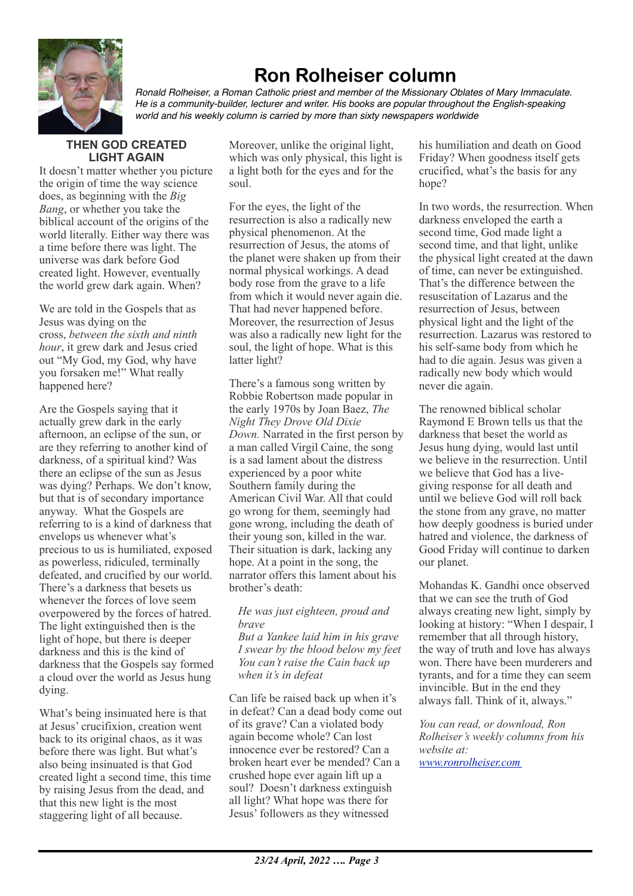

## **Ron Rolheiser column**

*Ronald Rolheiser, a Roman Catholic priest and member of the Missionary Oblates of Mary Immaculate. He is a community-builder, lecturer and writer. His books are popular throughout the English-speaking world and his weekly column is carried by more than sixty newspapers worldwide*

## **THEN GOD CREATED LIGHT AGAIN**

It doesn't matter whether you picture the origin of time the way science does, as beginning with the *Big Bang*, or whether you take the biblical account of the origins of the world literally. Either way there was a time before there was light. The universe was dark before God created light. However, eventually the world grew dark again. When?

We are told in the Gospels that as Jesus was dying on the cross, *between the sixth and ninth hour*, it grew dark and Jesus cried out "My God, my God, why have you forsaken me!" What really happened here?

Are the Gospels saying that it actually grew dark in the early afternoon, an eclipse of the sun, or are they referring to another kind of darkness, of a spiritual kind? Was there an eclipse of the sun as Jesus was dying? Perhaps. We don't know, but that is of secondary importance anyway. What the Gospels are referring to is a kind of darkness that envelops us whenever what's precious to us is humiliated, exposed as powerless, ridiculed, terminally defeated, and crucified by our world. There's a darkness that besets us whenever the forces of love seem overpowered by the forces of hatred. The light extinguished then is the light of hope, but there is deeper darkness and this is the kind of darkness that the Gospels say formed a cloud over the world as Jesus hung dying.

What's being insinuated here is that at Jesus' crucifixion, creation went back to its original chaos, as it was before there was light. But what's also being insinuated is that God created light a second time, this time by raising Jesus from the dead, and that this new light is the most staggering light of all because.

Moreover, unlike the original light, which was only physical, this light is a light both for the eyes and for the soul.

For the eyes, the light of the resurrection is also a radically new physical phenomenon. At the resurrection of Jesus, the atoms of the planet were shaken up from their normal physical workings. A dead body rose from the grave to a life from which it would never again die. That had never happened before. Moreover, the resurrection of Jesus was also a radically new light for the soul, the light of hope. What is this latter light?

There's a famous song written by Robbie Robertson made popular in the early 1970s by Joan Baez, *The Night They Drove Old Dixie Down.* Narrated in the first person by a man called Virgil Caine, the song is a sad lament about the distress experienced by a poor white Southern family during the American Civil War. All that could go wrong for them, seemingly had gone wrong, including the death of their young son, killed in the war. Their situation is dark, lacking any hope. At a point in the song, the narrator offers this lament about his brother's death:

*He was just eighteen, proud and brave*

*But a Yankee laid him in his grave I swear by the blood below my feet You can't raise the Cain back up when it's in defeat*

Can life be raised back up when it's in defeat? Can a dead body come out of its grave? Can a violated body again become whole? Can lost innocence ever be restored? Can a broken heart ever be mended? Can a crushed hope ever again lift up a soul? Doesn't darkness extinguish all light? What hope was there for Jesus' followers as they witnessed

his humiliation and death on Good Friday? When goodness itself gets crucified, what's the basis for any hope?

In two words, the resurrection. When darkness enveloped the earth a second time, God made light a second time, and that light, unlike the physical light created at the dawn of time, can never be extinguished. That's the difference between the resuscitation of Lazarus and the resurrection of Jesus, between physical light and the light of the resurrection. Lazarus was restored to his self-same body from which he had to die again. Jesus was given a radically new body which would never die again.

The renowned biblical scholar Raymond E Brown tells us that the darkness that beset the world as Jesus hung dying, would last until we believe in the resurrection. Until we believe that God has a livegiving response for all death and until we believe God will roll back the stone from any grave, no matter how deeply goodness is buried under hatred and violence, the darkness of Good Friday will continue to darken our planet.

Mohandas K. Gandhi once observed that we can see the truth of God always creating new light, simply by looking at history: "When I despair, I remember that all through history, the way of truth and love has always won. There have been murderers and tyrants, and for a time they can seem invincible. But in the end they always fall. Think of it, always."

*You can read, or download, Ron Rolheiser's weekly columns from his website at: [www.ronrolheiser.com](http://www.ronrolheiser.com)*